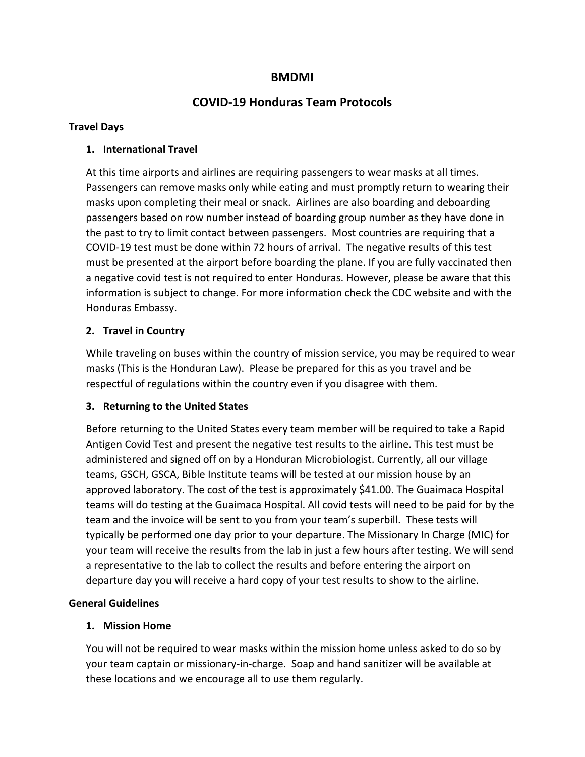# **BMDMI**

# **COVID‐19 Honduras Team Protocols**

#### **Travel Days**

### **1. International Travel**

At this time airports and airlines are requiring passengers to wear masks at all times. Passengers can remove masks only while eating and must promptly return to wearing their masks upon completing their meal or snack. Airlines are also boarding and deboarding passengers based on row number instead of boarding group number as they have done in the past to try to limit contact between passengers. Most countries are requiring that a COVID‐19 test must be done within 72 hours of arrival. The negative results of this test must be presented at the airport before boarding the plane. If you are fully vaccinated then a negative covid test is not required to enter Honduras. However, please be aware that this information is subject to change. For more information check the CDC website and with the Honduras Embassy.

### **2. Travel in Country**

While traveling on buses within the country of mission service, you may be required to wear masks (This is the Honduran Law). Please be prepared for this as you travel and be respectful of regulations within the country even if you disagree with them.

### **3. Returning to the United States**

Before returning to the United States every team member will be required to take a Rapid Antigen Covid Test and present the negative test results to the airline. This test must be administered and signed off on by a Honduran Microbiologist. Currently, all our village teams, GSCH, GSCA, Bible Institute teams will be tested at our mission house by an approved laboratory. The cost of the test is approximately \$41.00. The Guaimaca Hospital teams will do testing at the Guaimaca Hospital. All covid tests will need to be paid for by the team and the invoice will be sent to you from your team's superbill. These tests will typically be performed one day prior to your departure. The Missionary In Charge (MIC) for your team will receive the results from the lab in just a few hours after testing. We will send a representative to the lab to collect the results and before entering the airport on departure day you will receive a hard copy of your test results to show to the airline.

### **General Guidelines**

### **1. Mission Home**

You will not be required to wear masks within the mission home unless asked to do so by your team captain or missionary‐in‐charge. Soap and hand sanitizer will be available at these locations and we encourage all to use them regularly.